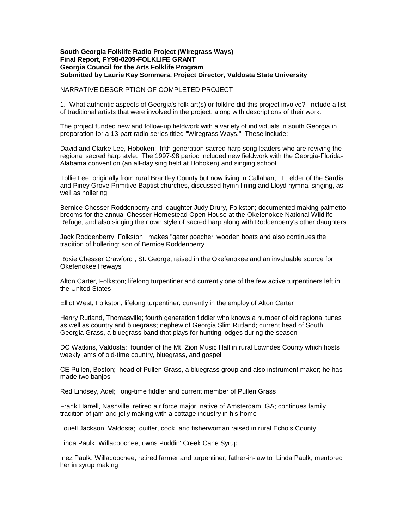## **South Georgia Folklife Radio Project (Wiregrass Ways) Final Report, FY98-0209-FOLKLIFE GRANT Georgia Council for the Arts Folklife Program Submitted by Laurie Kay Sommers, Project Director, Valdosta State University**

## NARRATIVE DESCRIPTION OF COMPLETED PROJECT

1. What authentic aspects of Georgia's folk art(s) or folklife did this project involve? Include a list of traditional artists that were involved in the project, along with descriptions of their work.

The project funded new and follow-up fieldwork with a variety of individuals in south Georgia in preparation for a 13-part radio series titled "Wiregrass Ways." These include:

David and Clarke Lee, Hoboken; fifth generation sacred harp song leaders who are reviving the regional sacred harp style. The 1997-98 period included new fieldwork with the Georgia-Florida-Alabama convention (an all-day sing held at Hoboken) and singing school.

Tollie Lee, originally from rural Brantley County but now living in Callahan, FL; elder of the Sardis and Piney Grove Primitive Baptist churches, discussed hymn lining and Lloyd hymnal singing, as well as hollering

Bernice Chesser Roddenberry and daughter Judy Drury, Folkston; documented making palmetto brooms for the annual Chesser Homestead Open House at the Okefenokee National Wildlife Refuge, and also singing their own style of sacred harp along with Roddenberry's other daughters

Jack Roddenberry, Folkston; makes "gater poacher' wooden boats and also continues the tradition of hollering; son of Bernice Roddenberry

Roxie Chesser Crawford , St. George; raised in the Okefenokee and an invaluable source for Okefenokee lifeways

Alton Carter, Folkston; lifelong turpentiner and currently one of the few active turpentiners left in the United States

Elliot West, Folkston; lifelong turpentiner, currently in the employ of Alton Carter

Henry Rutland, Thomasville; fourth generation fiddler who knows a number of old regional tunes as well as country and bluegrass; nephew of Georgia Slim Rutland; current head of South Georgia Grass, a bluegrass band that plays for hunting lodges during the season

DC Watkins, Valdosta; founder of the Mt. Zion Music Hall in rural Lowndes County which hosts weekly jams of old-time country, bluegrass, and gospel

CE Pullen, Boston; head of Pullen Grass, a bluegrass group and also instrument maker; he has made two banjos

Red Lindsey, Adel; long-time fiddler and current member of Pullen Grass

Frank Harrell, Nashville; retired air force major, native of Amsterdam, GA; continues family tradition of jam and jelly making with a cottage industry in his home

Louell Jackson, Valdosta; quilter, cook, and fisherwoman raised in rural Echols County.

Linda Paulk, Willacoochee; owns Puddin' Creek Cane Syrup

Inez Paulk, Willacoochee; retired farmer and turpentiner, father-in-law to Linda Paulk; mentored her in syrup making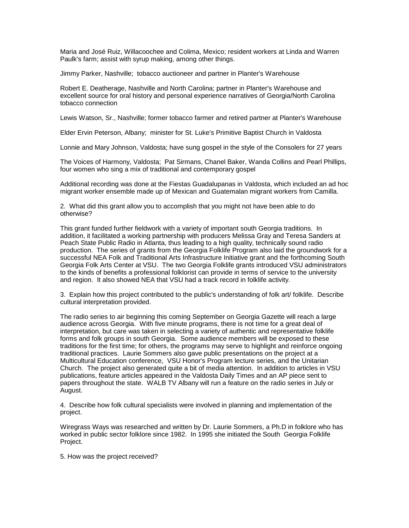Maria and José Ruiz, Willacoochee and Colima, Mexico; resident workers at Linda and Warren Paulk's farm; assist with syrup making, among other things.

Jimmy Parker, Nashville; tobacco auctioneer and partner in Planter's Warehouse

Robert E. Deatherage, Nashville and North Carolina; partner in Planter's Warehouse and excellent source for oral history and personal experience narratives of Georgia/North Carolina tobacco connection

Lewis Watson, Sr., Nashville; former tobacco farmer and retired partner at Planter's Warehouse

Elder Ervin Peterson, Albany; minister for St. Luke's Primitive Baptist Church in Valdosta

Lonnie and Mary Johnson, Valdosta; have sung gospel in the style of the Consolers for 27 years

The Voices of Harmony, Valdosta; Pat Sirmans, Chanel Baker, Wanda Collins and Pearl Phillips, four women who sing a mix of traditional and contemporary gospel

Additional recording was done at the Fiestas Guadalupanas in Valdosta, which included an ad hoc migrant worker ensemble made up of Mexican and Guatemalan migrant workers from Camilla.

2. What did this grant allow you to accomplish that you might not have been able to do otherwise?

This grant funded further fieldwork with a variety of important south Georgia traditions. In addition, it facilitated a working partnership with producers Melissa Gray and Teresa Sanders at Peach State Public Radio in Atlanta, thus leading to a high quality, technically sound radio production. The series of grants from the Georgia Folklife Program also laid the groundwork for a successful NEA Folk and Traditional Arts Infrastructure Initiative grant and the forthcoming South Georgia Folk Arts Center at VSU. The two Georgia Folklife grants introduced VSU administrators to the kinds of benefits a professional folklorist can provide in terms of service to the university and region. It also showed NEA that VSU had a track record in folklife activity.

3. Explain how this project contributed to the public's understanding of folk art/ folklife. Describe cultural interpretation provided.

The radio series to air beginning this coming September on Georgia Gazette will reach a large audience across Georgia. With five minute programs, there is not time for a great deal of interpretation, but care was taken in selecting a variety of authentic and representative folklife forms and folk groups in south Georgia. Some audience members will be exposed to these traditions for the first time; for others, the programs may serve to highlight and reinforce ongoing traditional practices. Laurie Sommers also gave public presentations on the project at a Multicultural Education conference, VSU Honor's Program lecture series, and the Unitarian Church. The project also generated quite a bit of media attention. In addition to articles in VSU publications, feature articles appeared in the Valdosta Daily Times and an AP piece sent to papers throughout the state. WALB TV Albany will run a feature on the radio series in July or August.

4. Describe how folk cultural specialists were involved in planning and implementation of the project.

Wiregrass Ways was researched and written by Dr. Laurie Sommers, a Ph.D in folklore who has worked in public sector folklore since 1982. In 1995 she initiated the South Georgia Folklife Project.

5. How was the project received?